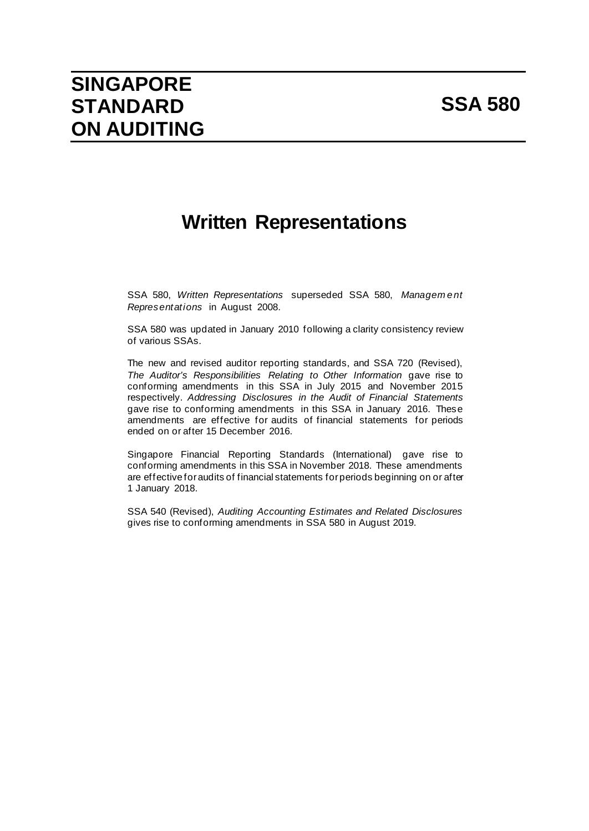# **Written Representations**

SSA 580, *Written Representations* superseded SSA 580, *Managem ent Representations* in August 2008.

SSA 580 was updated in January 2010 following a clarity consistency review of various SSAs.

The new and revised auditor reporting standards, and SSA 720 (Revised), *The Auditor's Responsibilities Relating to Other Information* gave rise to conforming amendments in this SSA in July 2015 and November 2015 respectively. *Addressing Disclosures in the Audit of Financial Statements* gave rise to conforming amendments in this SSA in January 2016. These amendments are effective for audits of financial statements for periods ended on or after 15 December 2016.

Singapore Financial Reporting Standards (International) gave rise to conforming amendments in this SSA in November 2018. These amendments are effective for audits of financial statements for periods beginning on or after 1 January 2018.

SSA 540 (Revised), *Auditing Accounting Estimates and Related Disclosures* gives rise to conforming amendments in SSA 580 in August 2019.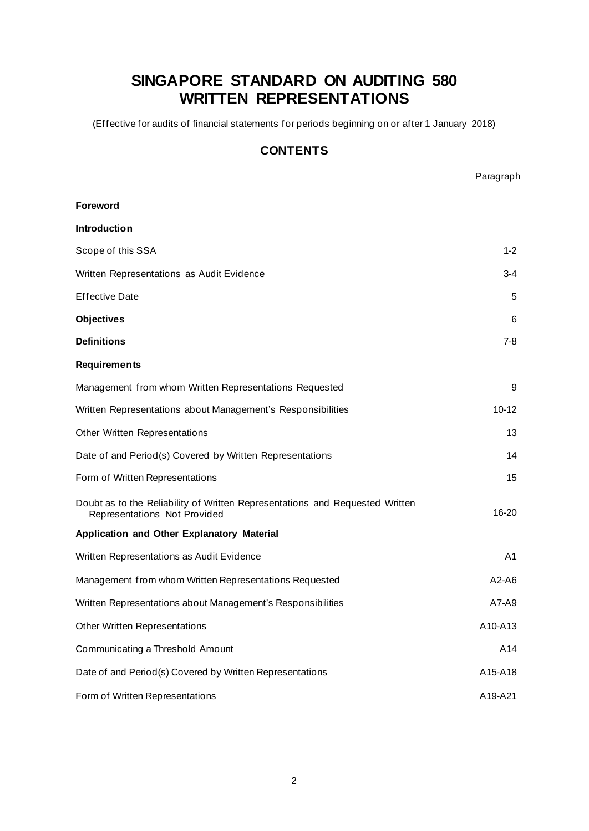## **SINGAPORE STANDARD ON AUDITING 580 WRITTEN REPRESENTATIONS**

(Effective for audits of financial statements for periods beginning on or after 1 January 2018)

### **CONTENTS**

Paragraph

| Foreword                                                                                                     |           |
|--------------------------------------------------------------------------------------------------------------|-----------|
| Introduction                                                                                                 |           |
| Scope of this SSA                                                                                            | $1 - 2$   |
| Written Representations as Audit Evidence                                                                    | 3-4       |
| Effective Date                                                                                               | 5         |
| <b>Objectives</b>                                                                                            | 6         |
| <b>Definitions</b>                                                                                           | $7 - 8$   |
| Requirements                                                                                                 |           |
| Management from whom Written Representations Requested                                                       | 9         |
| Written Representations about Management's Responsibilities                                                  | $10 - 12$ |
| Other Written Representations                                                                                | 13        |
| Date of and Period(s) Covered by Written Representations                                                     | 14        |
| Form of Written Representations                                                                              | 15        |
| Doubt as to the Reliability of Written Representations and Requested Written<br>Representations Not Provided | $16 - 20$ |
| <b>Application and Other Explanatory Material</b>                                                            |           |
| Written Representations as Audit Evidence                                                                    | A1        |
| Management from whom Written Representations Requested                                                       | $A2-A6$   |
| Written Representations about Management's Responsibilities                                                  | A7-A9     |
| <b>Other Written Representations</b>                                                                         | A10-A13   |
| Communicating a Threshold Amount                                                                             | A14       |
| Date of and Period(s) Covered by Written Representations                                                     | A15-A18   |
| Form of Written Representations                                                                              | A19-A21   |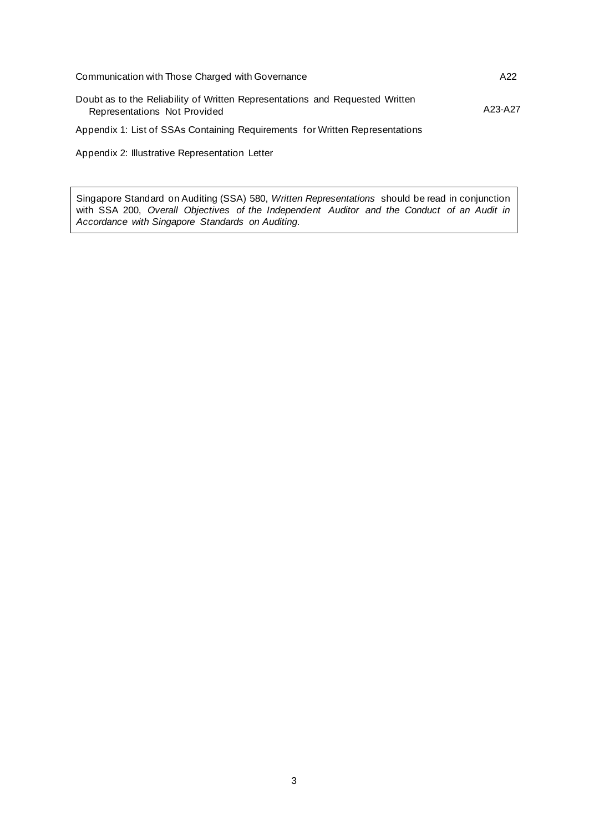Communication with Those Charged with Governance A22 Doubt as to the Reliability of Written Representations and Requested Written Representations Not Provided A23-A27 Appendix 1: List of SSAs Containing Requirements for Written Representations Appendix 2: Illustrative Representation Letter

Singapore Standard on Auditing (SSA) 580, *Written Representations* should be read in conjunction with SSA 200, *Overall Objectives of the Independent Auditor and the Conduct of an Audit in Accordance with Singapore Standards on Auditing*.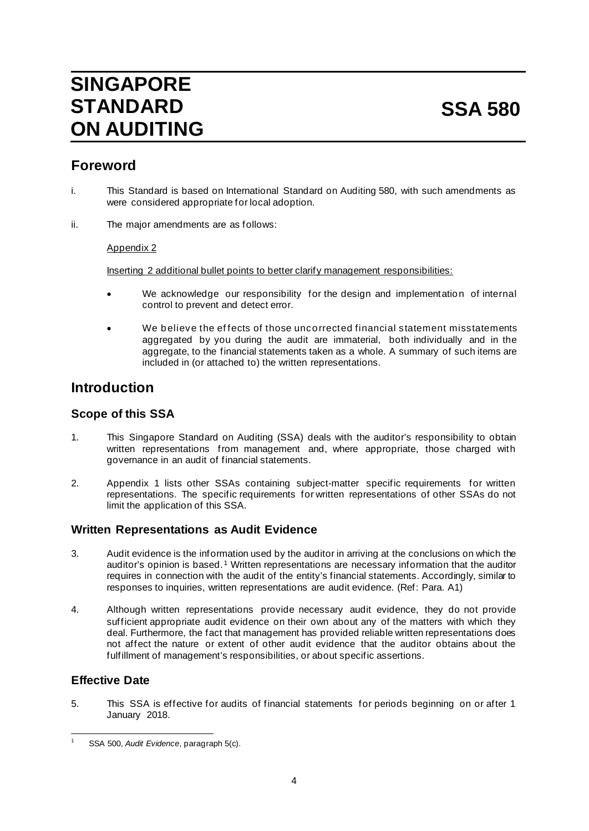# **SINGAPORE STANDARD ON AUDITING**

### **Foreword**

- i. This Standard is based on International Standard on Auditing 580, with such amendments as were considered appropriate for local adoption.
- ii. The major amendments are as follows:

#### Appendix 2

Inserting 2 additional bullet points to better clarify management responsibilities:

- We acknowledge our responsibility for the design and implementation of internal control to prevent and detect error.
- We believe the effects of those uncorrected financial statement misstatements aggregated by you during the audit are immaterial, both individually and in the aggregate, to the financial statements taken as a whole. A summary of such items are included in (or attached to) the written representations.

### **Introduction**

#### **Scope of this SSA**

- 1. This Singapore Standard on Auditing (SSA) deals with the auditor's responsibility to obtain written representations from management and, where appropriate, those charged with governance in an audit of financial statements.
- 2. Appendix 1 lists other SSAs containing subject-matter specific requirements for written representations. The specific requirements for written representations of other SSAs do not limit the application of this SSA.

#### **Written Representations as Audit Evidence**

- 3. Audit evidence is the information used by the auditor in arriving at the conclusions on which the auditor's opinion is based.<sup>1</sup> Written representations are necessary information that the auditor requires in connection with the audit of the entity's financial statements. Accordingly, similar to responses to inquiries, written representations are audit evidence. (Ref: Para. A1)
- 4. Although written representations provide necessary audit evidence, they do not provide sufficient appropriate audit evidence on their own about any of the matters with which they deal. Furthermore, the fact that management has provided reliable written representations does not affect the nature or extent of other audit evidence that the auditor obtains about the fulfillment of management's responsibilities, or about specific assertions.

#### **Effective Date**

5. This SSA is effective for audits of financial statements for periods beginning on or after 1 January 2018.

<sup>1</sup> SSA 500, *Audit Evidence*, paragraph 5(c).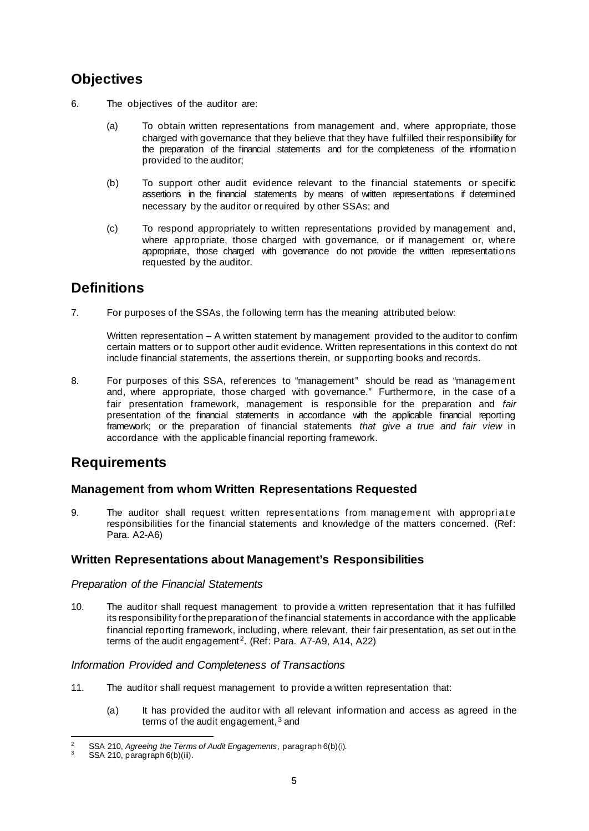### **Objectives**

- 6. The objectives of the auditor are:
	- (a) To obtain written representations from management and, where appropriate, those charged with governance that they believe that they have fulfilled their responsibility for the preparation of the financial statements and for the completeness of the information provided to the auditor;
	- (b) To support other audit evidence relevant to the financial statements or specific assertions in the financial statements by means of written representations if determined necessary by the auditor or required by other SSAs; and
	- (c) To respond appropriately to written representations provided by management and, where appropriate, those charged with governance, or if management or, where appropriate, those charged with governance do not provide the written representations requested by the auditor.

### **Definitions**

7. For purposes of the SSAs, the following term has the meaning attributed below:

Written representation – A written statement by management provided to the auditor to confirm certain matters or to support other audit evidence. Written representations in this context do not include financial statements, the assertions therein, or supporting books and records.

8. For purposes of this SSA, references to "management" should be read as "management and, where appropriate, those charged with governance." Furthermore, in the case of a fair presentation framework, management is responsible for the preparation and *fair* presentation of the financial statements in accordance with the applicable financial reporting framework; or the preparation of financial statements *that give a true and fair view* in accordance with the applicable financial reporting framework.

### **Requirements**

#### **Management from whom Written Representations Requested**

9. The auditor shall request written representations from management with appropriate responsibilities for the financial statements and knowledge of the matters concerned. (Ref: Para. A2-A6)

#### **Written Representations about Management's Responsibilities**

#### *Preparation of the Financial Statements*

10. The auditor shall request management to provide a written representation that it has fulfilled its responsibility for the preparation of the financial statements in accordance with the applicable financial reporting framework, including, where relevant, their fair presentation, as set out in the terms of the audit engagement<sup>2</sup>. (Ref: Para. A7-A9, A14, A22)

#### *Information Provided and Completeness of Transactions*

- 11. The auditor shall request management to provide a written representation that:
	- (a) It has provided the auditor with all relevant information and access as agreed in the terms of the audit engagement, <sup>3</sup> and

SSA 210, *Agreeing the Terms of Audit Engagements*, paragraph 6(b)(i). SSA 210, paragraph 6(b)(iii).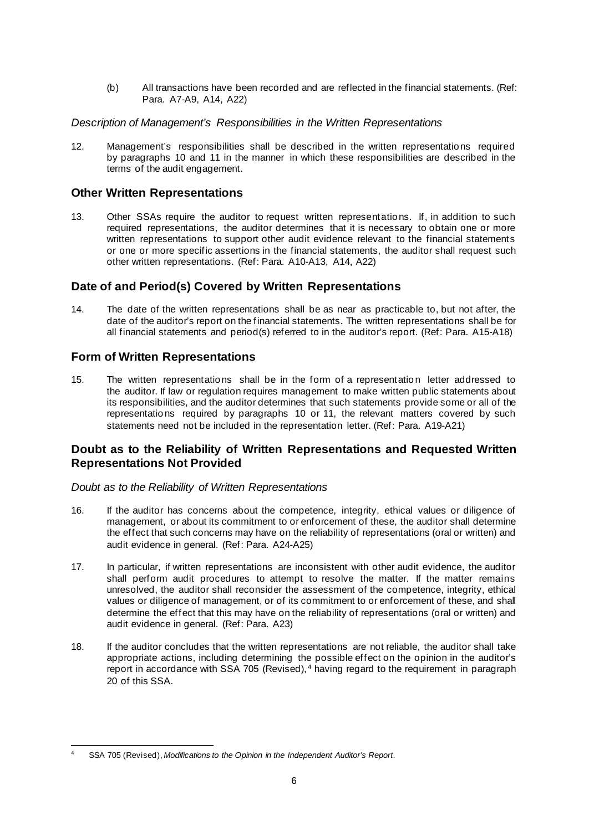(b) All transactions have been recorded and are reflected in the financial statements. (Ref: Para. A7-A9, A14, A22)

#### *Description of Management's Responsibilities in the Written Representations*

12. Management's responsibilities shall be described in the written representations required by paragraphs 10 and 11 in the manner in which these responsibilities are described in the terms of the audit engagement.

#### **Other Written Representations**

13. Other SSAs require the auditor to request written representations. If, in addition to such required representations, the auditor determines that it is necessary to obtain one or more written representations to support other audit evidence relevant to the financial statements or one or more specific assertions in the financial statements, the auditor shall request such other written representations. (Ref: Para. A10-A13, A14, A22)

#### **Date of and Period(s) Covered by Written Representations**

14. The date of the written representations shall be as near as practicable to, but not after, the date of the auditor's report on the financial statements. The written representations shall be for all financial statements and period(s) referred to in the auditor's report. (Ref: Para. A15-A18)

#### **Form of Written Representations**

15. The written representations shall be in the form of a representation letter addressed to the auditor. If law or regulation requires management to make written public statements about its responsibilities, and the auditor determines that such statements provide some or all of the representations required by paragraphs 10 or 11, the relevant matters covered by such statements need not be included in the representation letter. (Ref: Para. A19-A21)

#### **Doubt as to the Reliability of Written Representations and Requested Written Representations Not Provided**

#### *Doubt as to the Reliability of Written Representations*

- 16. If the auditor has concerns about the competence, integrity, ethical values or diligence of management, or about its commitment to or enforcement of these, the auditor shall determine the effect that such concerns may have on the reliability of representations (oral or written) and audit evidence in general. (Ref: Para. A24-A25)
- 17. In particular, if written representations are inconsistent with other audit evidence, the auditor shall perform audit procedures to attempt to resolve the matter. If the matter remains unresolved, the auditor shall reconsider the assessment of the competence, integrity, ethical values or diligence of management, or of its commitment to or enforcement of these, and shall determine the effect that this may have on the reliability of representations (oral or written) and audit evidence in general. (Ref: Para. A23)
- 18. If the auditor concludes that the written representations are not reliable, the auditor shall take appropriate actions, including determining the possible effect on the opinion in the auditor's report in accordance with SSA 705 (Revised), <sup>4</sup> having regard to the requirement in paragraph 20 of this SSA.

<sup>4</sup> SSA 705 (Revised), *Modifications to the Opinion in the Independent Auditor's Report*.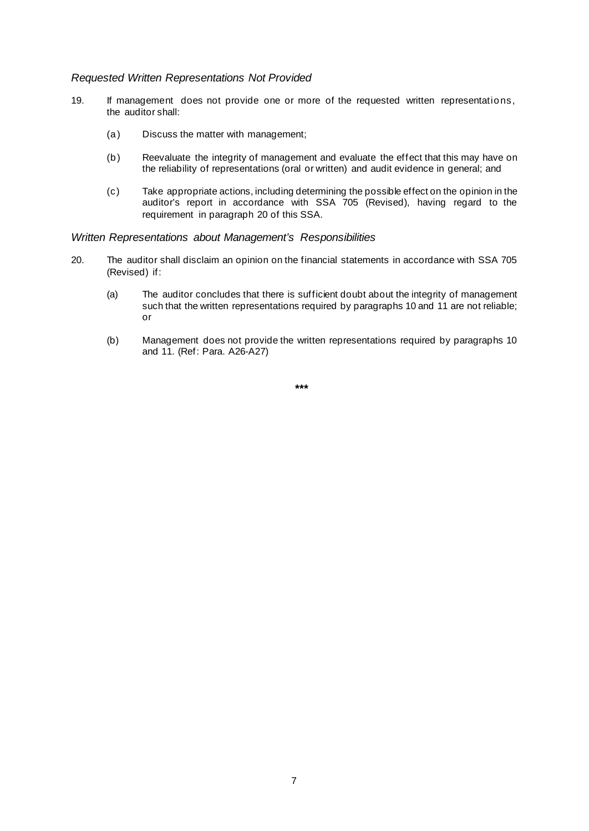#### *Requested Written Representations Not Provided*

- 19. If management does not provide one or more of the requested written representations, the auditor shall:
	- (a) Discuss the matter with management;
	- (b) Reevaluate the integrity of management and evaluate the effect that this may have on the reliability of representations (oral or written) and audit evidence in general; and
	- (c) Take appropriate actions, including determining the possible effect on the opinion in the auditor's report in accordance with SSA 705 (Revised), having regard to the requirement in paragraph 20 of this SSA.

#### *Written Representations about Management's Responsibilities*

- 20. The auditor shall disclaim an opinion on the financial statements in accordance with SSA 705 (Revised) if:
	- (a) The auditor concludes that there is sufficient doubt about the integrity of management such that the written representations required by paragraphs 10 and 11 are not reliable; or
	- (b) Management does not provide the written representations required by paragraphs 10 and 11. (Ref: Para. A26-A27)

**\*\*\***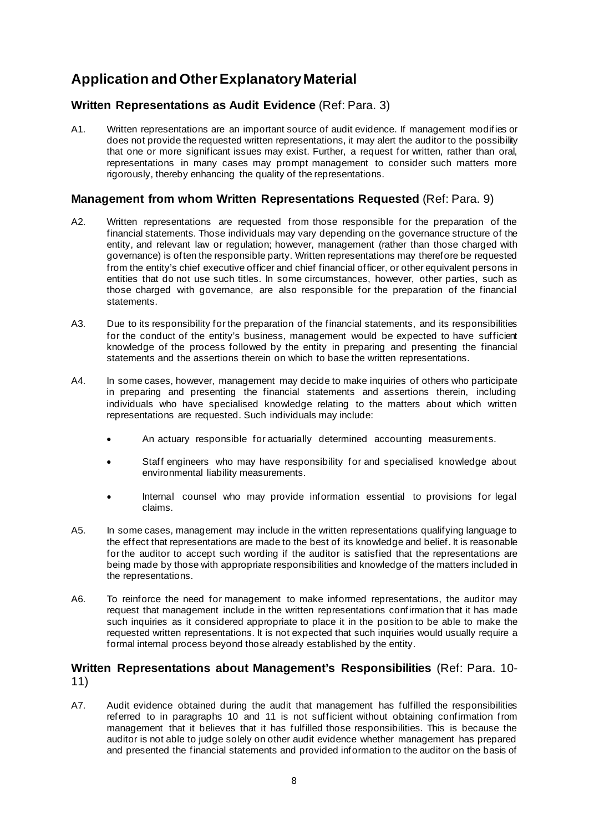### **Application and Other Explanatory Material**

#### **Written Representations as Audit Evidence** (Ref: Para. 3)

A1. Written representations are an important source of audit evidence. If management modifies or does not provide the requested written representations, it may alert the auditor to the possibility that one or more significant issues may exist. Further, a request for written, rather than oral, representations in many cases may prompt management to consider such matters more rigorously, thereby enhancing the quality of the representations.

#### **Management from whom Written Representations Requested** (Ref: Para. 9)

- A2. Written representations are requested from those responsible for the preparation of the financial statements. Those individuals may vary depending on the governance structure of the entity, and relevant law or regulation; however, management (rather than those charged with governance) is often the responsible party. Written representations may therefore be requested from the entity's chief executive officer and chief financial officer, or other equivalent persons in entities that do not use such titles. In some circumstances, however, other parties, such as those charged with governance, are also responsible for the preparation of the financial statements.
- A3. Due to its responsibility for the preparation of the financial statements, and its responsibilities for the conduct of the entity's business, management would be expected to have sufficient knowledge of the process followed by the entity in preparing and presenting the financial statements and the assertions therein on which to base the written representations.
- A4. In some cases, however, management may decide to make inquiries of others who participate in preparing and presenting the financial statements and assertions therein, including individuals who have specialised knowledge relating to the matters about which written representations are requested. Such individuals may include:
	- An actuary responsible for actuarially determined accounting measurements.
	- Staff engineers who may have responsibility for and specialised knowledge about environmental liability measurements.
	- Internal counsel who may provide information essential to provisions for legal claims.
- A5. In some cases, management may include in the written representations qualifying language to the effect that representations are made to the best of its knowledge and belief. It is reasonable for the auditor to accept such wording if the auditor is satisfied that the representations are being made by those with appropriate responsibilities and knowledge of the matters included in the representations.
- A6. To reinforce the need for management to make informed representations, the auditor may request that management include in the written representations confirmation that it has made such inquiries as it considered appropriate to place it in the position to be able to make the requested written representations. It is not expected that such inquiries would usually require a formal internal process beyond those already established by the entity.

#### **Written Representations about Management's Responsibilities** (Ref: Para. 10- 11)

A7. Audit evidence obtained during the audit that management has fulfilled the responsibilities referred to in paragraphs 10 and 11 is not sufficient without obtaining confirmation from management that it believes that it has fulfilled those responsibilities. This is because the auditor is not able to judge solely on other audit evidence whether management has prepared and presented the financial statements and provided information to the auditor on the basis of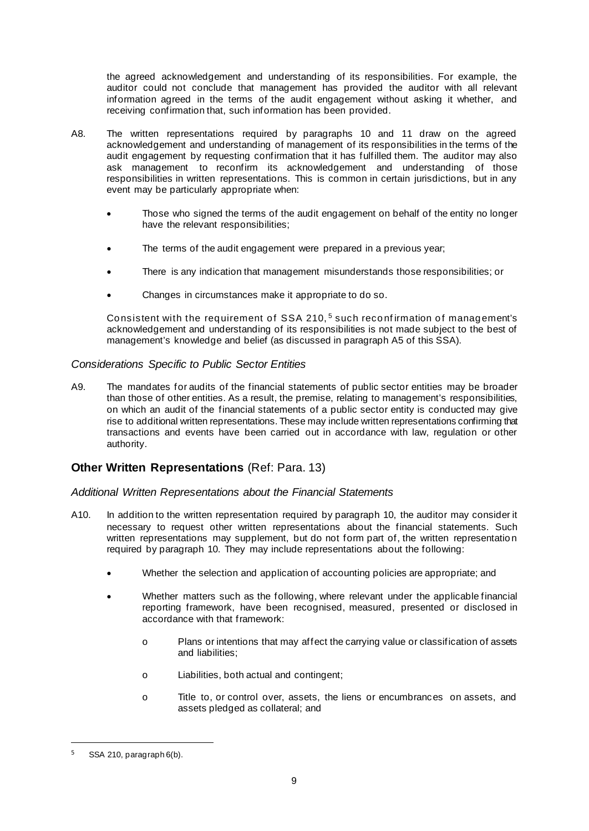the agreed acknowledgement and understanding of its responsibilities. For example, the auditor could not conclude that management has provided the auditor with all relevant information agreed in the terms of the audit engagement without asking it whether, and receiving confirmation that, such information has been provided.

- A8. The written representations required by paragraphs 10 and 11 draw on the agreed acknowledgement and understanding of management of its responsibilities in the terms of the audit engagement by requesting confirmation that it has fulfilled them. The auditor may also ask management to reconfirm its acknowledgement and understanding of those responsibilities in written representations. This is common in certain jurisdictions, but in any event may be particularly appropriate when:
	- Those who signed the terms of the audit engagement on behalf of the entity no longer have the relevant responsibilities;
	- The terms of the audit engagement were prepared in a previous year;
	- There is any indication that management misunderstands those responsibilities; or
	- Changes in circumstances make it appropriate to do so.

Consistent with the requirement of SSA 210,<sup>5</sup> such reconfirmation of management's acknowledgement and understanding of its responsibilities is not made subject to the best of management's knowledge and belief (as discussed in paragraph A5 of this SSA).

#### *Considerations Specific to Public Sector Entities*

A9. The mandates for audits of the financial statements of public sector entities may be broader than those of other entities. As a result, the premise, relating to management's responsibilities, on which an audit of the financial statements of a public sector entity is conducted may give rise to additional written representations. These may include written representations confirming that transactions and events have been carried out in accordance with law, regulation or other authority.

#### **Other Written Representations** (Ref: Para. 13)

#### *Additional Written Representations about the Financial Statements*

- A10. In addition to the written representation required by paragraph 10, the auditor may consider it necessary to request other written representations about the financial statements. Such written representations may supplement, but do not form part of, the written representation required by paragraph 10. They may include representations about the following:
	- Whether the selection and application of accounting policies are appropriate; and
	- Whether matters such as the following, where relevant under the applicable financial reporting framework, have been recognised, measured, presented or disclosed in accordance with that framework:
		- o Plans or intentions that may affect the carrying value or classification of assets and liabilities;
		- o Liabilities, both actual and contingent;
		- o Title to, or control over, assets, the liens or encumbrances on assets, and assets pledged as collateral; and

SSA 210, paragraph 6(b).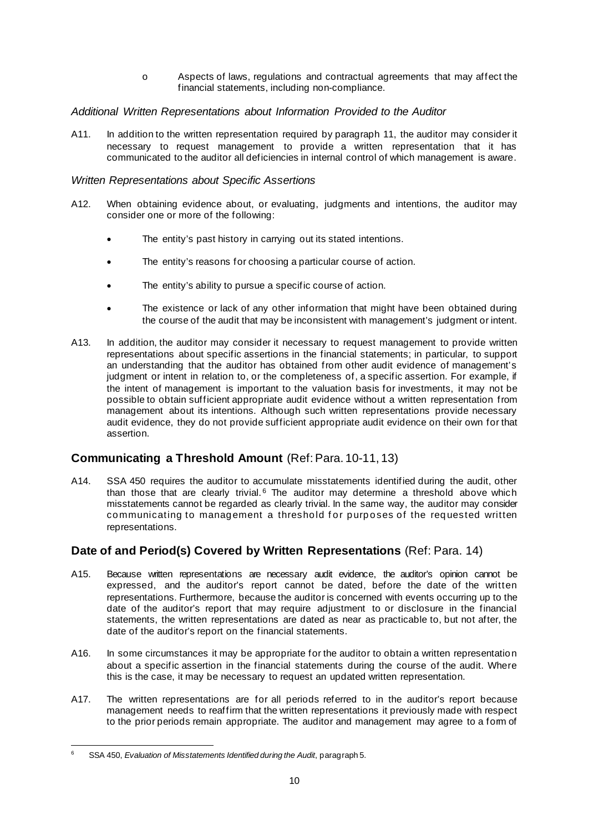o Aspects of laws, regulations and contractual agreements that may affect the financial statements, including non-compliance.

#### *Additional Written Representations about Information Provided to the Auditor*

A11. In addition to the written representation required by paragraph 11, the auditor may consider it necessary to request management to provide a written representation that it has communicated to the auditor all deficiencies in internal control of which management is aware.

#### *Written Representations about Specific Assertions*

- A12. When obtaining evidence about, or evaluating, judgments and intentions, the auditor may consider one or more of the following:
	- The entity's past history in carrying out its stated intentions.
	- The entity's reasons for choosing a particular course of action.
	- The entity's ability to pursue a specific course of action.
	- The existence or lack of any other information that might have been obtained during the course of the audit that may be inconsistent with management's judgment or intent.
- A13. In addition, the auditor may consider it necessary to request management to provide written representations about specific assertions in the financial statements; in particular, to support an understanding that the auditor has obtained from other audit evidence of management's judgment or intent in relation to, or the completeness of, a specific assertion. For example, if the intent of management is important to the valuation basis for investments, it may not be possible to obtain sufficient appropriate audit evidence without a written representation from management about its intentions. Although such written representations provide necessary audit evidence, they do not provide sufficient appropriate audit evidence on their own for that assertion.

#### **Communicating a Threshold Amount** (Ref: Para. 10-11, 13)

A14. SSA 450 requires the auditor to accumulate misstatements identified during the audit, other than those that are clearly trivial.<sup>6</sup> The auditor may determine a threshold above which misstatements cannot be regarded as clearly trivial. In the same way, the auditor may consider communicating to management a threshold for purposes of the requested written representations.

#### **Date of and Period(s) Covered by Written Representations** (Ref: Para. 14)

- A15. Because written representations are necessary audit evidence, the auditor's opinion cannot be expressed, and the auditor's report cannot be dated, before the date of the written representations. Furthermore, because the auditor is concerned with events occurring up to the date of the auditor's report that may require adjustment to or disclosure in the financial statements, the written representations are dated as near as practicable to, but not after, the date of the auditor's report on the financial statements.
- A16. In some circumstances it may be appropriate for the auditor to obtain a written representation about a specific assertion in the financial statements during the course of the audit. Where this is the case, it may be necessary to request an updated written representation.
- A17. The written representations are for all periods referred to in the auditor's report because management needs to reaffirm that the written representations it previously made with respect to the prior periods remain appropriate. The auditor and management may agree to a form of

<sup>6</sup> SSA 450, *Evaluation of Misstatements Identified during the Audit*, paragraph 5.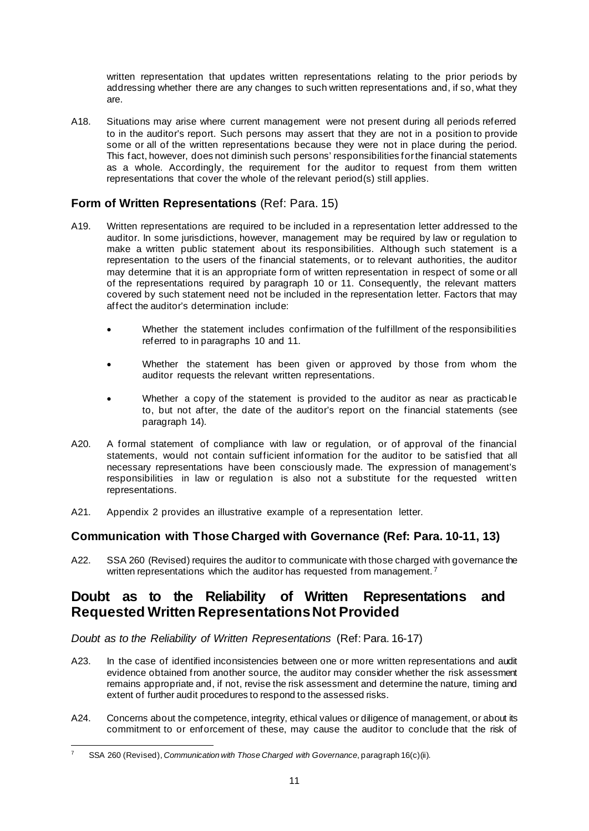written representation that updates written representations relating to the prior periods by addressing whether there are any changes to such written representations and, if so, what they are.

A18. Situations may arise where current management were not present during all periods referred to in the auditor's report. Such persons may assert that they are not in a position to provide some or all of the written representations because they were not in place during the period. This fact, however, does not diminish such persons' responsibilities for the financial statements as a whole. Accordingly, the requirement for the auditor to request from them written representations that cover the whole of the relevant period(s) still applies.

#### **Form of Written Representations** (Ref: Para. 15)

- A19. Written representations are required to be included in a representation letter addressed to the auditor. In some jurisdictions, however, management may be required by law or regulation to make a written public statement about its responsibilities. Although such statement is a representation to the users of the financial statements, or to relevant authorities, the auditor may determine that it is an appropriate form of written representation in respect of some or all of the representations required by paragraph 10 or 11. Consequently, the relevant matters covered by such statement need not be included in the representation letter. Factors that may affect the auditor's determination include:
	- Whether the statement includes confirmation of the fulfillment of the responsibilities referred to in paragraphs 10 and 11.
	- Whether the statement has been given or approved by those from whom the auditor requests the relevant written representations.
	- Whether a copy of the statement is provided to the auditor as near as practicable to, but not after, the date of the auditor's report on the financial statements (see paragraph 14).
- A20. A formal statement of compliance with law or regulation, or of approval of the financial statements, would not contain sufficient information for the auditor to be satisfied that all necessary representations have been consciously made. The expression of management's responsibilities in law or regulation is also not a substitute for the requested written representations.
- A21. Appendix 2 provides an illustrative example of a representation letter.

#### **Communication with Those Charged with Governance (Ref: Para. 10-11, 13)**

A22. SSA 260 (Revised) requires the auditor to communicate with those charged with governance the written representations which the auditor has requested from management.<sup>7</sup>

### **Doubt as to the Reliability of Written Representations and Requested Written Representations Not Provided**

*Doubt as to the Reliability of Written Representations* (Ref: Para. 16-17)

- A23. In the case of identified inconsistencies between one or more written representations and audit evidence obtained from another source, the auditor may consider whether the risk assessment remains appropriate and, if not, revise the risk assessment and determine the nature, timing and extent of further audit procedures to respond to the assessed risks.
- A24. Concerns about the competence, integrity, ethical values or diligence of management, or about its commitment to or enforcement of these, may cause the auditor to conclude that the risk of

<sup>7</sup> SSA 260 (Revised), *Communication with Those Charged with Governance*, paragraph 16(c)(ii).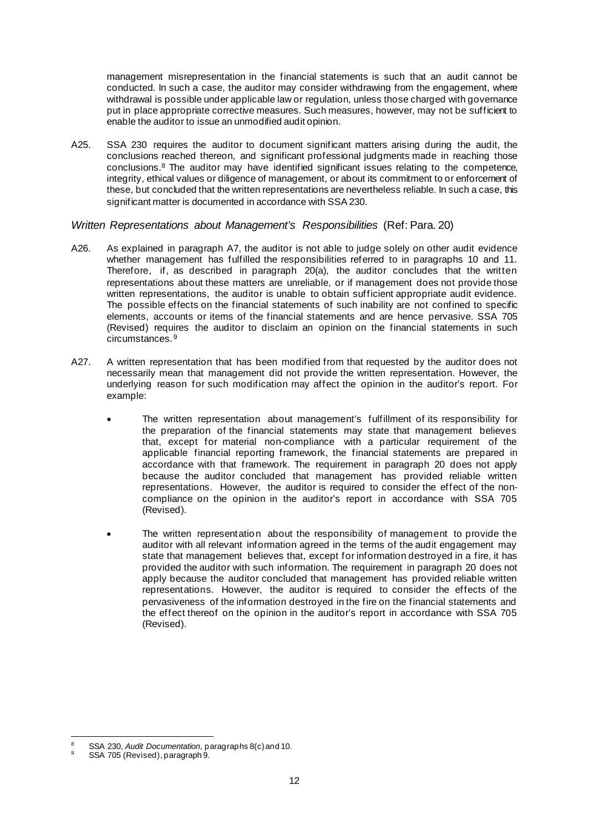management misrepresentation in the financial statements is such that an audit cannot be conducted. In such a case, the auditor may consider withdrawing from the engagement, where withdrawal is possible under applicable law or regulation, unless those charged with governance put in place appropriate corrective measures. Such measures, however, may not be sufficient to enable the auditor to issue an unmodified audit opinion.

A25. SSA 230 requires the auditor to document significant matters arising during the audit, the conclusions reached thereon, and significant professional judgments made in reaching those conclusions. $8$  The auditor may have identified significant issues relating to the competence, integrity, ethical values or diligence of management, or about its commitment to or enforcement of these, but concluded that the written representations are nevertheless reliable. In such a case, this significant matter is documented in accordance with SSA 230.

#### *Written Representations about Management's Responsibilities* (Ref: Para. 20)

- A26. As explained in paragraph A7, the auditor is not able to judge solely on other audit evidence whether management has fulfilled the responsibilities referred to in paragraphs 10 and 11. Therefore, if, as described in paragraph 20(a), the auditor concludes that the written representations about these matters are unreliable, or if management does not provide those written representations, the auditor is unable to obtain sufficient appropriate audit evidence. The possible effects on the financial statements of such inability are not confined to specific elements, accounts or items of the financial statements and are hence pervasive. SSA 705 (Revised) requires the auditor to disclaim an opinion on the financial statements in such circumstances. <sup>9</sup>
- A27. A written representation that has been modified from that requested by the auditor does not necessarily mean that management did not provide the written representation. However, the underlying reason for such modification may affect the opinion in the auditor's report. For example:
	- The written representation about management's fulfillment of its responsibility for the preparation of the financial statements may state that management believes that, except for material non-compliance with a particular requirement of the applicable financial reporting framework, the financial statements are prepared in accordance with that framework. The requirement in paragraph 20 does not apply because the auditor concluded that management has provided reliable written representations. However, the auditor is required to consider the effect of the noncompliance on the opinion in the auditor's report in accordance with SSA 705 (Revised).
	- The written representation about the responsibility of management to provide the auditor with all relevant information agreed in the terms of the audit engagement may state that management believes that, except for information destroyed in a fire, it has provided the auditor with such information. The requirement in paragraph 20 does not apply because the auditor concluded that management has provided reliable written representations. However, the auditor is required to consider the effects of the pervasiveness of the information destroyed in the fire on the financial statements and the effect thereof on the opinion in the auditor's report in accordance with SSA 705 (Revised).

<sup>8</sup> SA 230, *Audit Documentation*, paragraphs 8(c) and 10. SSA 705 (Revised), paragraph 9.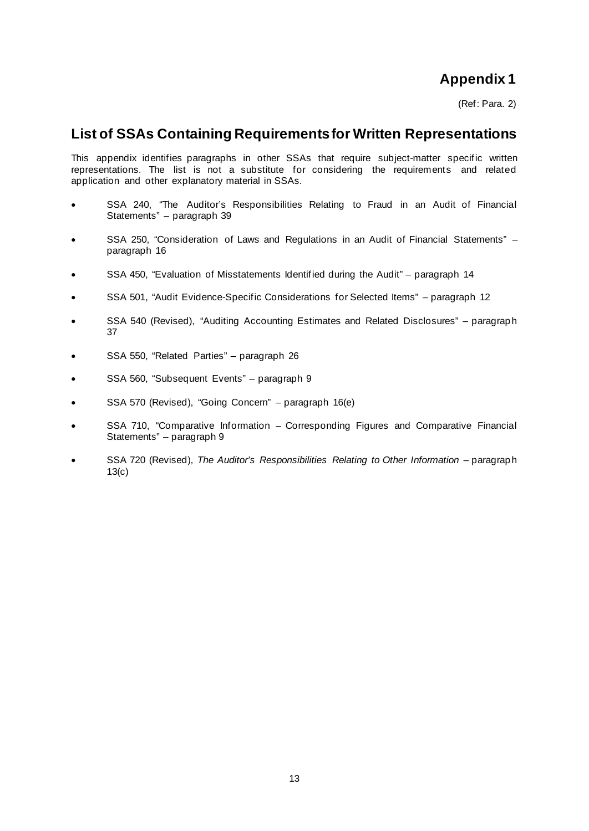### **Appendix 1**

(Ref: Para. 2)

### **List of SSAs Containing Requirements for Written Representations**

This appendix identifies paragraphs in other SSAs that require subject-matter specific written representations. The list is not a substitute for considering the requirements and related application and other explanatory material in SSAs.

- SSA 240, "The Auditor's Responsibilities Relating to Fraud in an Audit of Financial Statements" – paragraph 39
- SSA 250, "Consideration of Laws and Regulations in an Audit of Financial Statements" paragraph 16
- SSA 450, "Evaluation of Misstatements Identified during the Audit" paragraph 14
- SSA 501, "Audit Evidence-Specific Considerations for Selected Items" paragraph 12
- SSA 540 (Revised), "Auditing Accounting Estimates and Related Disclosures" paragraph 37
- SSA 550, "Related Parties" paragraph 26
- SSA 560, "Subsequent Events" paragraph 9
- SSA 570 (Revised), "Going Concern" paragraph 16(e)
- SSA 710, "Comparative Information Corresponding Figures and Comparative Financial Statements" – paragraph 9
- SSA 720 (Revised), *The Auditor's Responsibilities Relating to Other Information* paragraph 13(c)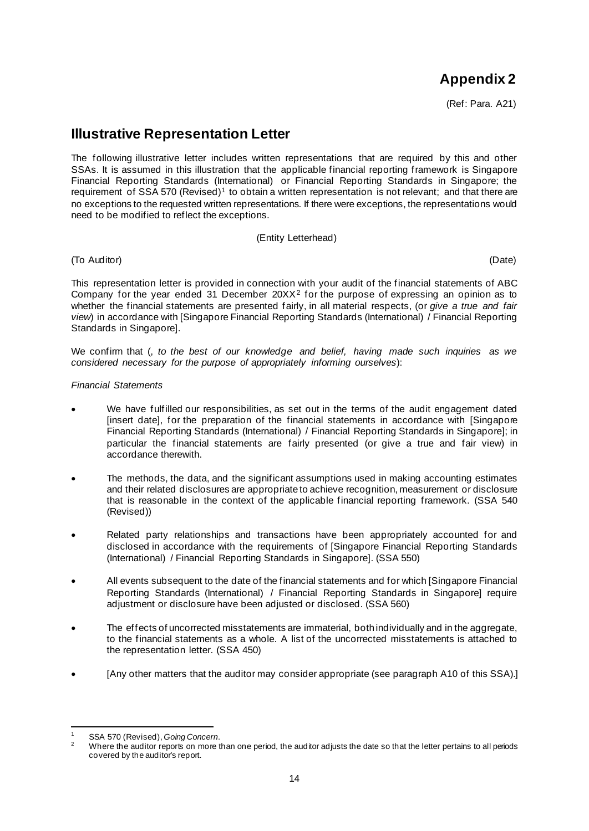(Ref: Para. A21)

## **Illustrative Representation Letter**

The following illustrative letter includes written representations that are required by this and other SSAs. It is assumed in this illustration that the applicable financial reporting framework is Singapore Financial Reporting Standards (International) or Financial Reporting Standards in Singapore; the requirement of SSA 570 (Revised)<sup>1</sup> to obtain a written representation is not relevant; and that there are no exceptions to the requested written representations. If there were exceptions, the representations would need to be modified to reflect the exceptions.

#### (Entity Letterhead)

#### (To Auditor) (Date)

This representation letter is provided in connection with your audit of the financial statements of ABC Company for the year ended 31 December  $20XX<sup>2</sup>$  for the purpose of expressing an opinion as to whether the financial statements are presented fairly, in all material respects, (or *give a true and fair view*) in accordance with [Singapore Financial Reporting Standards (International) / Financial Reporting Standards in Singapore].

We confirm that (, *to the best of our knowledge and belief, having made such inquiries as we considered necessary for the purpose of appropriately informing ourselves*):

#### *Financial Statements*

- We have fulfilled our responsibilities, as set out in the terms of the audit engagement dated [insert date], for the preparation of the financial statements in accordance with [Singapore Financial Reporting Standards (International) / Financial Reporting Standards in Singapore]; in particular the financial statements are fairly presented (or give a true and fair view) in accordance therewith.
- The methods, the data, and the significant assumptions used in making accounting estimates and their related disclosures are appropriate to achieve recognition, measurement or disclosure that is reasonable in the context of the applicable financial reporting framework. (SSA 540 (Revised))
- Related party relationships and transactions have been appropriately accounted for and disclosed in accordance with the requirements of [Singapore Financial Reporting Standards (International) / Financial Reporting Standards in Singapore]. (SSA 550)
- All events subsequent to the date of the financial statements and for which [Singapore Financial Reporting Standards (International) / Financial Reporting Standards in Singapore] require adjustment or disclosure have been adjusted or disclosed. (SSA 560)
- The effects of uncorrected misstatements are immaterial, both individually and in the aggregate, to the financial statements as a whole. A list of the uncorrected misstatements is attached to the representation letter. (SSA 450)
- [Any other matters that the auditor may consider appropriate (see paragraph A10 of this SSA).]

14

**Appendix 2**

<sup>&</sup>lt;sup>1</sup> SSA 570 (Revised), *Going Concern*.<br><sup>2</sup> Where the auditor reports on more than one period, the auditor adjusts the date so that the letter pertains to all periods covered by the auditor's report.